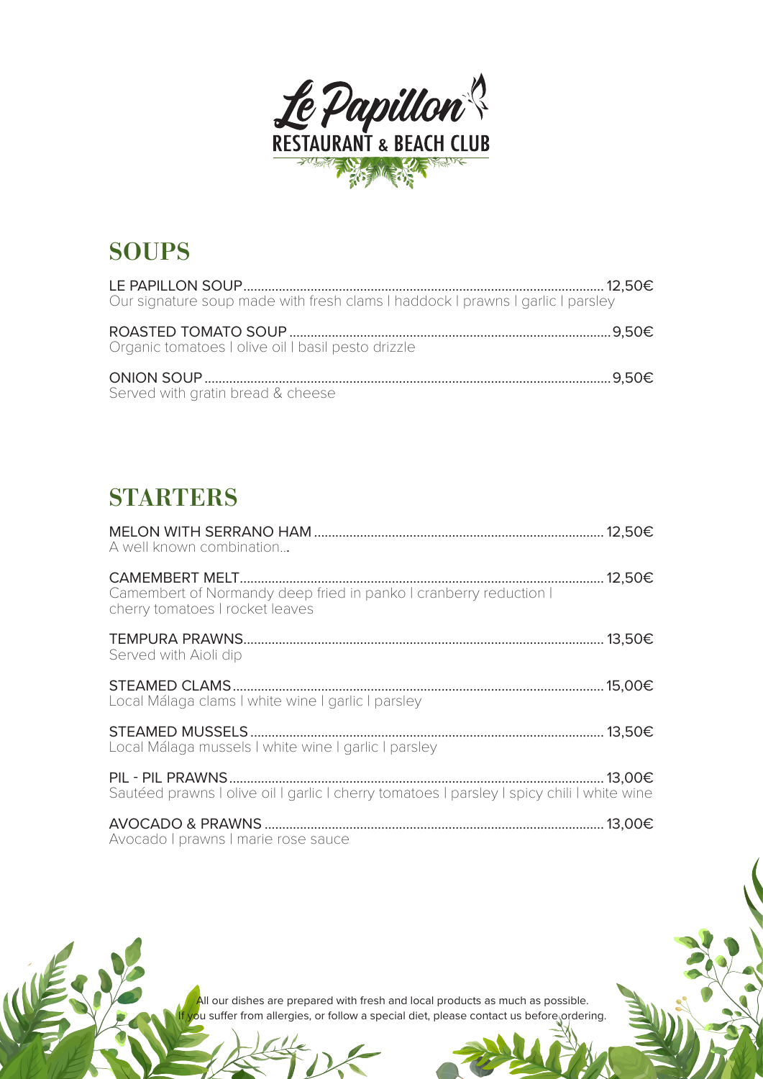

## **SOUPS**

| Our signature soup made with fresh clams I haddock I prawns I garlic I parsley |  |
|--------------------------------------------------------------------------------|--|
| Organic tomatoes I olive oil I basil pesto drizzle                             |  |
|                                                                                |  |
| Served with gratin bread & cheese                                              |  |

### **STARTERS**

| A well known combination                                                                             |  |
|------------------------------------------------------------------------------------------------------|--|
| Camembert of Normandy deep fried in panko I cranberry reduction I<br>cherry tomatoes I rocket leaves |  |
| Served with Aioli dip                                                                                |  |
| Local Málaga clams I white wine I garlic I parsley                                                   |  |
| Local Málaga mussels I white wine I garlic I parsley                                                 |  |
| Sautéed prawns I olive oil I garlic I cherry tomatoes I parsley I spicy chili I white wine           |  |
| Avocado   prawns   marie rose sauce                                                                  |  |

All our dishes are prepared with fresh and local products as much as possible. ou suffer from allergies, or follow a special diet, please contact us before ordering.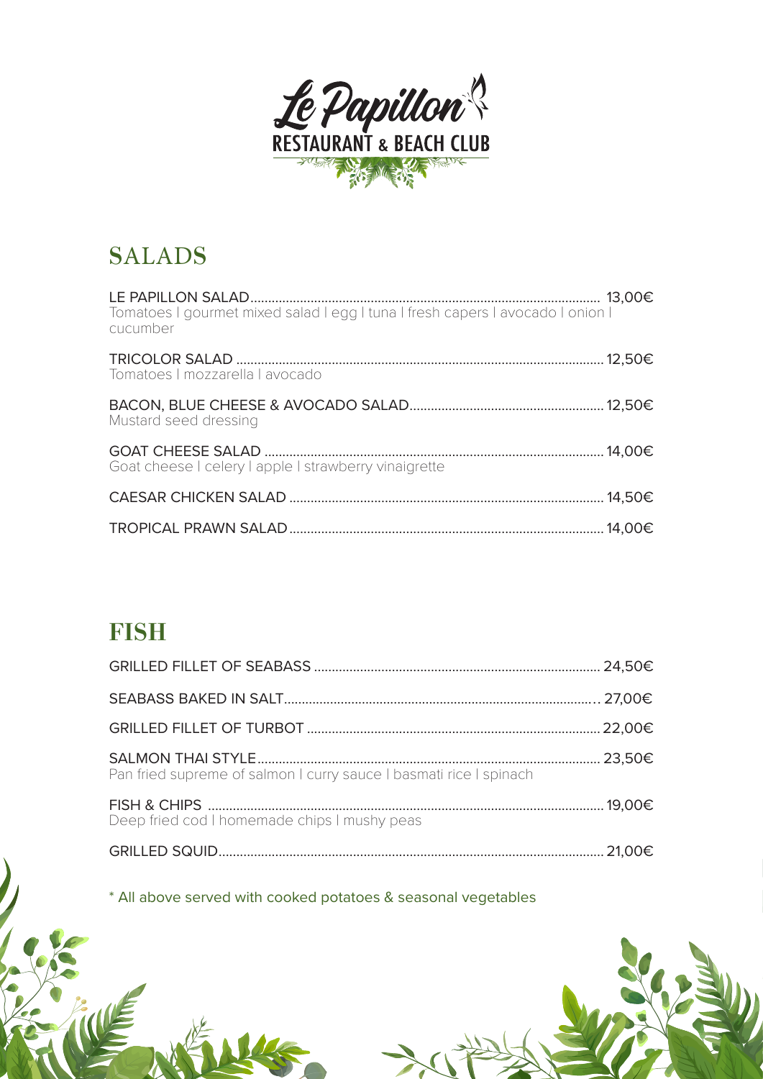

## SALADS

| Tomatoes I gourmet mixed salad I egg I tuna I fresh capers I avocado I onion I<br>cucumber |  |
|--------------------------------------------------------------------------------------------|--|
| Tomatoes   mozzarella   avocado                                                            |  |
| Mustard seed dressing                                                                      |  |
| Goat cheese I celery I apple I strawberry vinaigrette                                      |  |
|                                                                                            |  |
|                                                                                            |  |

#### **FISH**

| Pan fried supreme of salmon I curry sauce I basmati rice I spinach |  |
|--------------------------------------------------------------------|--|
| Deep fried cod I homemade chips I mushy peas                       |  |
|                                                                    |  |

\* All above served with cooked potatoes & seasonal vegetables

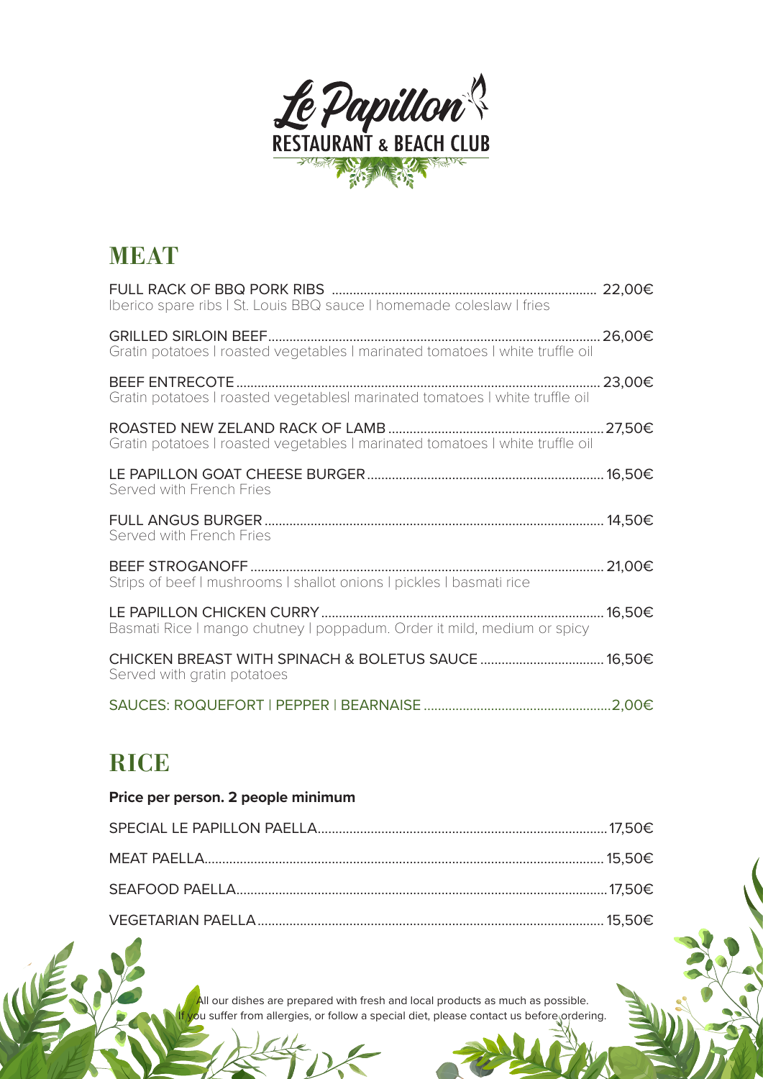

#### MEAT

| Iberico spare ribs I St. Louis BBQ sauce I homemade coleslaw I fries          |  |
|-------------------------------------------------------------------------------|--|
| Gratin potatoes I roasted vegetables I marinated tomatoes I white truffle oil |  |
| Gratin potatoes I roasted vegetablesI marinated tomatoes I white truffle oil  |  |
| Gratin potatoes I roasted vegetables I marinated tomatoes I white truffle oil |  |
| Served with French Fries                                                      |  |
|                                                                               |  |
| Served with French Fries                                                      |  |
| Strips of beef I mushrooms I shallot onions I pickles I basmati rice          |  |
| Basmati Rice I mango chutney I poppadum. Order it mild, medium or spicy       |  |
| Served with gratin potatoes                                                   |  |

#### **RICE**

#### **Price per person. 2 people minimum**

All our dishes are prepared with fresh and local products as much as possible. ou suffer from allergies, or follow a special diet, please contact us before ordering.